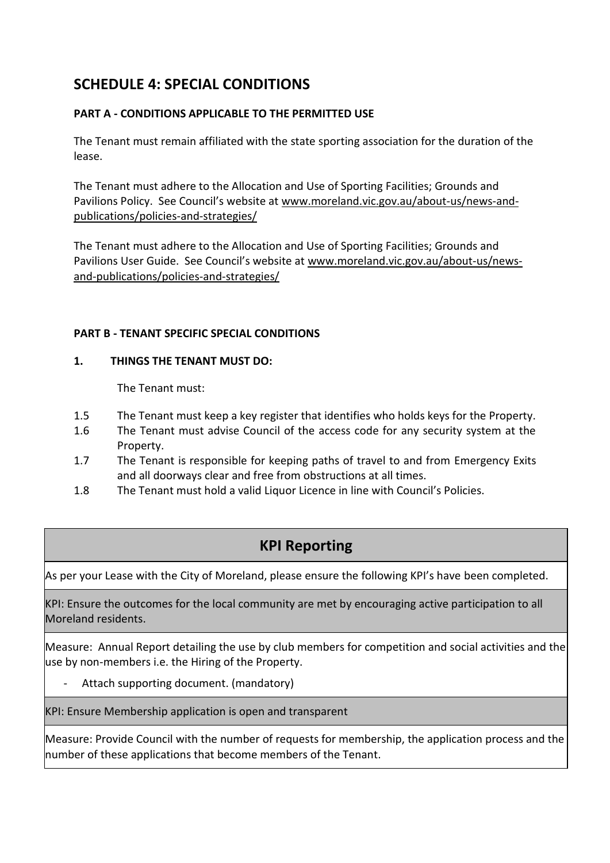# **SCHEDULE 4: SPECIAL CONDITIONS**

### **PART A - CONDITIONS APPLICABLE TO THE PERMITTED USE**

The Tenant must remain affiliated with the state sporting association for the duration of the lease.

The Tenant must adhere to the Allocation and Use of Sporting Facilities; Grounds and Pavilions Policy. See Council's website at www.moreland.vic.gov.au/about-us/news-andpublications/policies-and-strategies/

The Tenant must adhere to the Allocation and Use of Sporting Facilities; Grounds and Pavilions User Guide. See Council's website at www.moreland.vic.gov.au/about-us/newsand-publications/policies-and-strategies/

#### **PART B - TENANT SPECIFIC SPECIAL CONDITIONS**

#### **1. THINGS THE TENANT MUST DO:**

The Tenant must:

- 1.5 The Tenant must keep a key register that identifies who holds keys for the Property.
- 1.6 The Tenant must advise Council of the access code for any security system at the Property.
- 1.7 The Tenant is responsible for keeping paths of travel to and from Emergency Exits and all doorways clear and free from obstructions at all times.
- 1.8 The Tenant must hold a valid Liquor Licence in line with Council's Policies.

## **KPI Reporting**

As per your Lease with the City of Moreland, please ensure the following KPI's have been completed.

KPI: Ensure the outcomes for the local community are met by encouraging active participation to all Moreland residents.

Measure: Annual Report detailing the use by club members for competition and social activities and the use by non-members i.e. the Hiring of the Property.

Attach supporting document. (mandatory)

KPI: Ensure Membership application is open and transparent

Measure: Provide Council with the number of requests for membership, the application process and the number of these applications that become members of the Tenant.